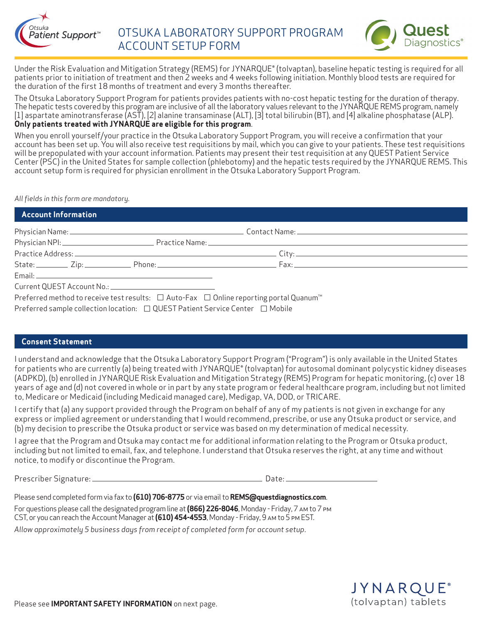



Under the Risk Evaluation and Mitigation Strategy (REMS) for JYNARQUE® (tolvaptan), baseline hepatic testing is required for all patients prior to initiation of treatment and then 2 weeks and 4 weeks following initiation. Monthly blood tests are required for the duration of the first 18 months of treatment and every 3 months thereafter.

The Otsuka Laboratory Support Program for patients provides patients with no-cost hepatic testing for the duration of therapy. The hepatic tests covered by this program are inclusive of all the laboratory values relevant to the JYNARQUE REMS program, namely [1] aspartate aminotransferase (AST), [2] alanine transaminase (ALT), [3] total bilirubin (BT), and [4] alkaline phosphatase (ALP). **Only patients treated with JYNARQUE are eligible for this program**.

When you enroll yourself/your practice in the Otsuka Laboratory Support Program, you will receive a confirmation that your account has been set up. You will also receive test requisitions by mail, which you can give to your patients. These test requisitions will be prepopulated with your account information. Patients may present their test requisition at any QUEST Patient Service Center (PSC) in the United States for sample collection (phlebotomy) and the hepatic tests required by the JYNARQUE REMS. This account setup form is required for physician enrollment in the Otsuka Laboratory Support Program.

#### *All fields in this form are mandatory.*

| Account Information                                                                                |  |
|----------------------------------------------------------------------------------------------------|--|
|                                                                                                    |  |
|                                                                                                    |  |
|                                                                                                    |  |
|                                                                                                    |  |
|                                                                                                    |  |
|                                                                                                    |  |
| Preferred method to receive test results: □ Auto-Fax □ Online reporting portal Quanum <sup>™</sup> |  |

Preferred sample collection location:  $\Box$  QUEST Patient Service Center  $\Box$  Mobile

### **Consent Statement**

I understand and acknowledge that the Otsuka Laboratory Support Program ("Program") is only available in the United States for patients who are currently (a) being treated with JYNARQUE® (tolvaptan) for autosomal dominant polycystic kidney diseases (ADPKD), (b) enrolled in JYNARQUE Risk Evaluation and Mitigation Strategy (REMS) Program for hepatic monitoring, (c) over 18 years of age and (d) not covered in whole or in part by any state program or federal healthcare program, including but not limited to, Medicare or Medicaid (including Medicaid managed care), Medigap, VA, DOD, or TRICARE.

I certify that (a) any support provided through the Program on behalf of any of my patients is not given in exchange for any express or implied agreement or understanding that I would recommend, prescribe, or use any Otsuka product or service, and (b) my decision to prescribe the Otsuka product or service was based on my determination of medical necessity.

I agree that the Program and Otsuka may contact me for additional information relating to the Program or Otsuka product, including but not limited to email, fax, and telephone. I understand that Otsuka reserves the right, at any time and without notice, to modify or discontinue the Program.

Prescriber Signature: Date:

Please send completed form via fax to **(610) 706-8775** or via email to **REMS@questdiagnostics.com**.

For questions please call the designated program line at **(866) 226-8046**, Monday - Friday, 7 am to 7 pm CST, or you can reach the Account Manager at **(610) 454-4553**, Monday - Friday, 9 am to 5 pm EST.

*Allow approximately 5 business days from receipt of completed form for account setup*.